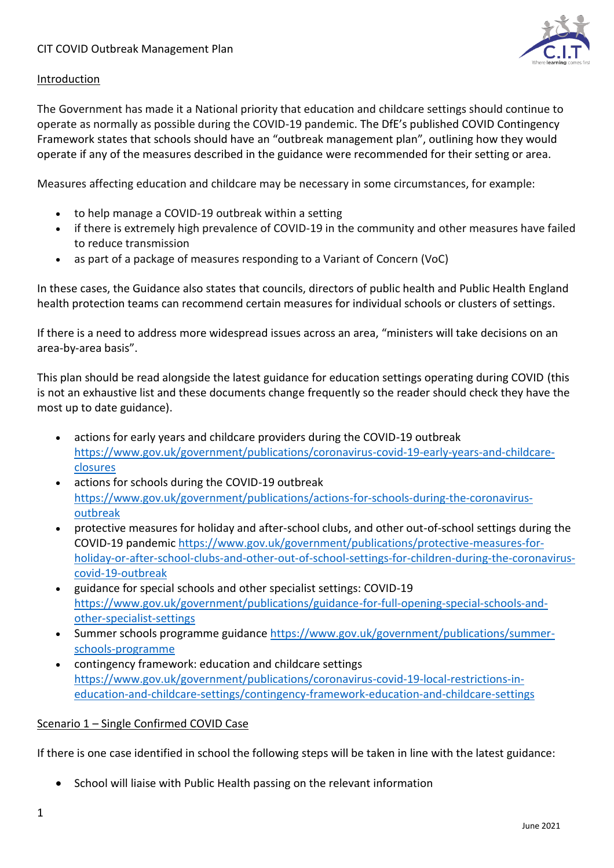

## Introduction

The Government has made it a National priority that education and childcare settings should continue to operate as normally as possible during the COVID-19 pandemic. The DfE's published COVID Contingency Framework states that schools should have an "outbreak management plan", outlining how they would operate if any of the measures described in the guidance were recommended for their setting or area.

Measures affecting education and childcare may be necessary in some circumstances, for example:

- to help manage a COVID-19 outbreak within a setting
- if there is extremely high prevalence of COVID-19 in the community and other measures have failed to reduce transmission
- as part of a package of measures responding to a Variant of Concern (VoC)

In these cases, the Guidance also states that councils, directors of public health and Public Health England health protection teams can recommend certain measures for individual schools or clusters of settings.

If there is a need to address more widespread issues across an area, "ministers will take decisions on an area-by-area basis".

This plan should be read alongside the latest guidance for education settings operating during COVID (this is not an exhaustive list and these documents change frequently so the reader should check they have the most up to date guidance).

- actions for early years and childcare providers during the COVID-19 outbreak [https://www.gov.uk/government/publications/coronavirus-covid-19-early-years-and-childcare](https://www.gov.uk/government/publications/coronavirus-covid-19-early-years-and-childcare-closures)[closures](https://www.gov.uk/government/publications/coronavirus-covid-19-early-years-and-childcare-closures)
- actions for schools during the COVID-19 outbreak [https://www.gov.uk/government/publications/actions-for-schools-during-the-coronavirus](https://www.gov.uk/government/publications/actions-for-schools-during-the-coronavirus-outbreak)[outbreak](https://www.gov.uk/government/publications/actions-for-schools-during-the-coronavirus-outbreak)
- protective measures for holiday and after-school clubs, and other out-of-school settings during the COVID-19 pandemic [https://www.gov.uk/government/publications/protective-measures-for](https://www.gov.uk/government/publications/protective-measures-for-holiday-or-after-school-clubs-and-other-out-of-school-settings-for-children-during-the-coronavirus-covid-19-outbreak)[holiday-or-after-school-clubs-and-other-out-of-school-settings-for-children-during-the-coronavirus](https://www.gov.uk/government/publications/protective-measures-for-holiday-or-after-school-clubs-and-other-out-of-school-settings-for-children-during-the-coronavirus-covid-19-outbreak)[covid-19-outbreak](https://www.gov.uk/government/publications/protective-measures-for-holiday-or-after-school-clubs-and-other-out-of-school-settings-for-children-during-the-coronavirus-covid-19-outbreak)
- guidance for special schools and other specialist settings: COVID-19 [https://www.gov.uk/government/publications/guidance-for-full-opening-special-schools-and](https://www.gov.uk/government/publications/guidance-for-full-opening-special-schools-and-other-specialist-settings)[other-specialist-settings](https://www.gov.uk/government/publications/guidance-for-full-opening-special-schools-and-other-specialist-settings)
- Summer schools programme guidance [https://www.gov.uk/government/publications/summer](https://www.gov.uk/government/publications/summer-schools-programme)[schools-programme](https://www.gov.uk/government/publications/summer-schools-programme)
- contingency framework: education and childcare settings [https://www.gov.uk/government/publications/coronavirus-covid-19-local-restrictions-in](https://www.gov.uk/government/publications/coronavirus-covid-19-local-restrictions-in-education-and-childcare-settings/contingency-framework-education-and-childcare-settings)[education-and-childcare-settings/contingency-framework-education-and-childcare-settings](https://www.gov.uk/government/publications/coronavirus-covid-19-local-restrictions-in-education-and-childcare-settings/contingency-framework-education-and-childcare-settings)

## Scenario 1 – Single Confirmed COVID Case

If there is one case identified in school the following steps will be taken in line with the latest guidance:

• School will liaise with Public Health passing on the relevant information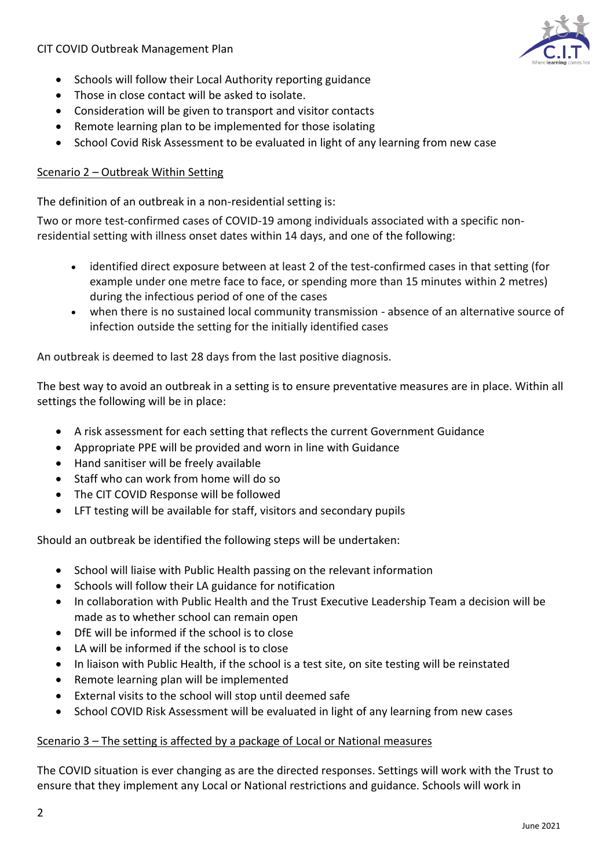

- Schools will follow their Local Authority reporting guidance
- Those in close contact will be asked to isolate.
- Consideration will be given to transport and visitor contacts
- Remote learning plan to be implemented for those isolating
- School Covid Risk Assessment to be evaluated in light of any learning from new case

#### Scenario 2 – Outbreak Within Setting

The definition of an outbreak in a non-residential setting is:

Two or more test-confirmed cases of COVID-19 among individuals associated with a specific nonresidential setting with illness onset dates within 14 days, and one of the following:

- identified direct exposure between at least 2 of the test-confirmed cases in that setting (for example under one metre face to face, or spending more than 15 minutes within 2 metres) during the infectious period of one of the cases
- when there is no sustained local community transmission absence of an alternative source of infection outside the setting for the initially identified cases

An outbreak is deemed to last 28 days from the last positive diagnosis.

The best way to avoid an outbreak in a setting is to ensure preventative measures are in place. Within all settings the following will be in place:

- A risk assessment for each setting that reflects the current Government Guidance
- Appropriate PPE will be provided and worn in line with Guidance
- Hand sanitiser will be freely available
- Staff who can work from home will do so
- The CIT COVID Response will be followed
- LFT testing will be available for staff, visitors and secondary pupils

Should an outbreak be identified the following steps will be undertaken:

- School will liaise with Public Health passing on the relevant information
- Schools will follow their LA guidance for notification
- In collaboration with Public Health and the Trust Executive Leadership Team a decision will be made as to whether school can remain open
- DfE will be informed if the school is to close
- LA will be informed if the school is to close
- In liaison with Public Health, if the school is a test site, on site testing will be reinstated
- Remote learning plan will be implemented
- External visits to the school will stop until deemed safe
- School COVID Risk Assessment will be evaluated in light of any learning from new cases

#### Scenario 3 – The setting is affected by a package of Local or National measures

The COVID situation is ever changing as are the directed responses. Settings will work with the Trust to ensure that they implement any Local or National restrictions and guidance. Schools will work in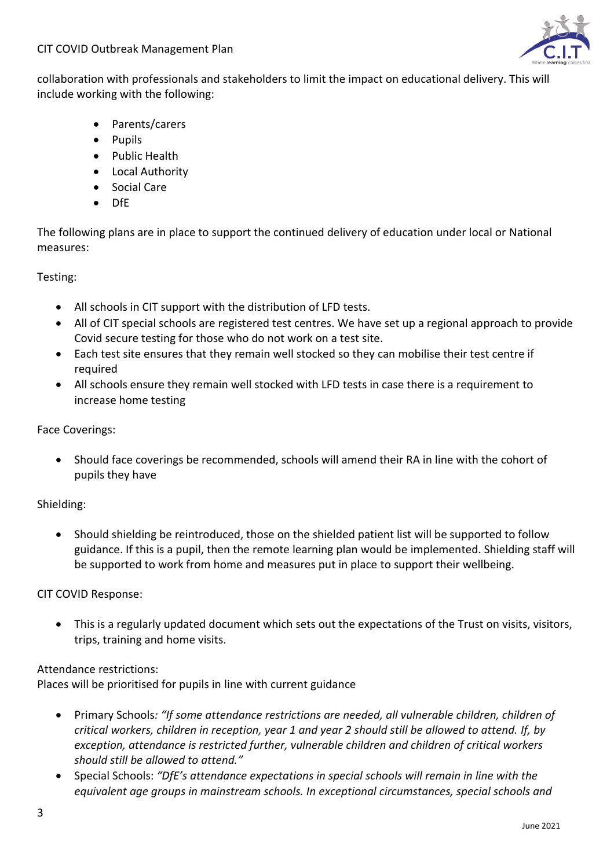

collaboration with professionals and stakeholders to limit the impact on educational delivery. This will include working with the following:

- Parents/carers
- Pupils
- Public Health
- Local Authority
- Social Care
- DfE

The following plans are in place to support the continued delivery of education under local or National measures:

Testing:

- All schools in CIT support with the distribution of LFD tests.
- All of CIT special schools are registered test centres. We have set up a regional approach to provide Covid secure testing for those who do not work on a test site.
- Each test site ensures that they remain well stocked so they can mobilise their test centre if required
- All schools ensure they remain well stocked with LFD tests in case there is a requirement to increase home testing

Face Coverings:

• Should face coverings be recommended, schools will amend their RA in line with the cohort of pupils they have

Shielding:

• Should shielding be reintroduced, those on the shielded patient list will be supported to follow guidance. If this is a pupil, then the remote learning plan would be implemented. Shielding staff will be supported to work from home and measures put in place to support their wellbeing.

CIT COVID Response:

• This is a regularly updated document which sets out the expectations of the Trust on visits, visitors, trips, training and home visits.

## Attendance restrictions:

Places will be prioritised for pupils in line with current guidance

- Primary Schools*: "If some attendance restrictions are needed, all vulnerable children, children of critical workers, children in reception, year 1 and year 2 should still be allowed to attend. If, by exception, attendance is restricted further, vulnerable children and children of critical workers should still be allowed to attend."*
- Special Schools: *"DfE's attendance expectations in special schools will remain in line with the equivalent age groups in mainstream schools. In exceptional circumstances, special schools and*